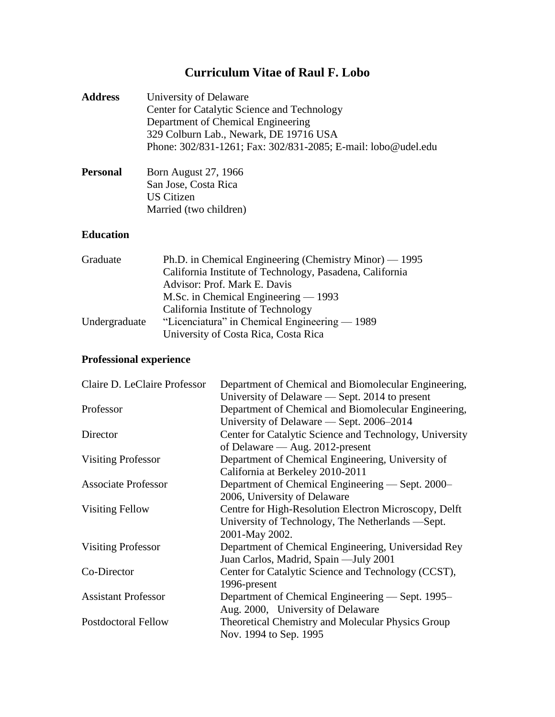# **Curriculum Vitae of Raul F. Lobo**

| <b>Address</b> | University of Delaware                                        |
|----------------|---------------------------------------------------------------|
|                | Center for Catalytic Science and Technology                   |
|                | Department of Chemical Engineering                            |
|                | 329 Colburn Lab., Newark, DE 19716 USA                        |
|                | Phone: 302/831-1261; Fax: 302/831-2085; E-mail: lobo@udel.edu |
|                |                                                               |

| Personal | <b>Born August 27, 1966</b> |
|----------|-----------------------------|
|          | San Jose, Costa Rica        |
|          | US Citizen                  |
|          | Married (two children)      |

## **Education**

| Graduate      | Ph.D. in Chemical Engineering (Chemistry Minor) — 1995   |
|---------------|----------------------------------------------------------|
|               | California Institute of Technology, Pasadena, California |
|               | Advisor: Prof. Mark E. Davis                             |
|               | M.Sc. in Chemical Engineering $-$ 1993                   |
|               | California Institute of Technology                       |
| Undergraduate | "Licenciatura" in Chemical Engineering $-1989$           |
|               | University of Costa Rica, Costa Rica                     |

# **Professional experience**

| Claire D. LeClaire Professor | Department of Chemical and Biomolecular Engineering,    |
|------------------------------|---------------------------------------------------------|
|                              | University of Delaware — Sept. 2014 to present          |
| Professor                    | Department of Chemical and Biomolecular Engineering,    |
|                              | University of Delaware — Sept. 2006–2014                |
| Director                     | Center for Catalytic Science and Technology, University |
|                              | of Delaware $-$ Aug. 2012-present                       |
| <b>Visiting Professor</b>    | Department of Chemical Engineering, University of       |
|                              | California at Berkeley 2010-2011                        |
| <b>Associate Professor</b>   | Department of Chemical Engineering — Sept. 2000-        |
|                              | 2006, University of Delaware                            |
| <b>Visiting Fellow</b>       | Centre for High-Resolution Electron Microscopy, Delft   |
|                              | University of Technology, The Netherlands —Sept.        |
|                              | 2001-May 2002.                                          |
| <b>Visiting Professor</b>    | Department of Chemical Engineering, Universidad Rey     |
|                              | Juan Carlos, Madrid, Spain - July 2001                  |
| Co-Director                  | Center for Catalytic Science and Technology (CCST),     |
|                              | 1996-present                                            |
| <b>Assistant Professor</b>   | Department of Chemical Engineering — Sept. 1995–        |
|                              | Aug. 2000, University of Delaware                       |
| <b>Postdoctoral Fellow</b>   | Theoretical Chemistry and Molecular Physics Group       |
|                              | Nov. 1994 to Sep. 1995                                  |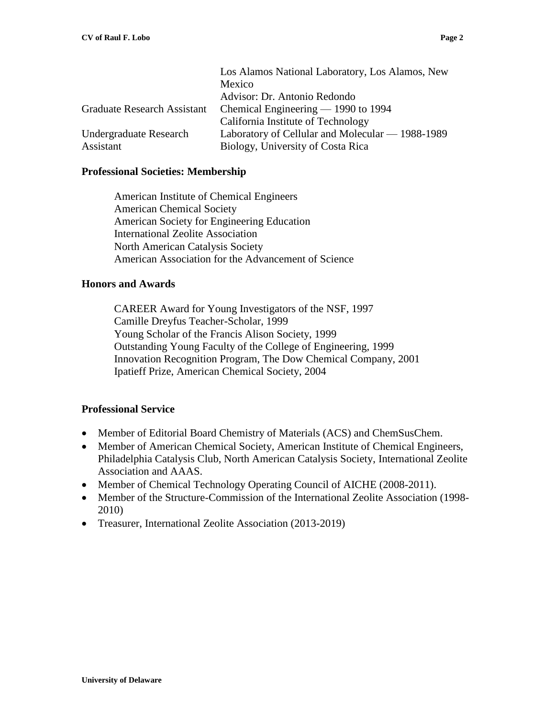|                                    | Los Alamos National Laboratory, Los Alamos, New  |
|------------------------------------|--------------------------------------------------|
|                                    | Mexico                                           |
|                                    | Advisor: Dr. Antonio Redondo                     |
| <b>Graduate Research Assistant</b> | Chemical Engineering $-$ 1990 to 1994            |
|                                    | California Institute of Technology               |
| Undergraduate Research             | Laboratory of Cellular and Molecular — 1988-1989 |
| Assistant                          | Biology, University of Costa Rica                |

#### **Professional Societies: Membership**

American Institute of Chemical Engineers American Chemical Society American Society for Engineering Education International Zeolite Association North American Catalysis Society American Association for the Advancement of Science

#### **Honors and Awards**

CAREER Award for Young Investigators of the NSF, 1997 Camille Dreyfus Teacher-Scholar, 1999 Young Scholar of the Francis Alison Society, 1999 Outstanding Young Faculty of the College of Engineering, 1999 Innovation Recognition Program, The Dow Chemical Company, 2001 Ipatieff Prize, American Chemical Society, 2004

#### **Professional Service**

- Member of Editorial Board Chemistry of Materials (ACS) and ChemSusChem.
- Member of American Chemical Society, American Institute of Chemical Engineers, Philadelphia Catalysis Club, North American Catalysis Society, International Zeolite Association and AAAS.
- Member of Chemical Technology Operating Council of AICHE (2008-2011).
- Member of the Structure-Commission of the International Zeolite Association (1998- 2010)
- Treasurer, International Zeolite Association (2013-2019)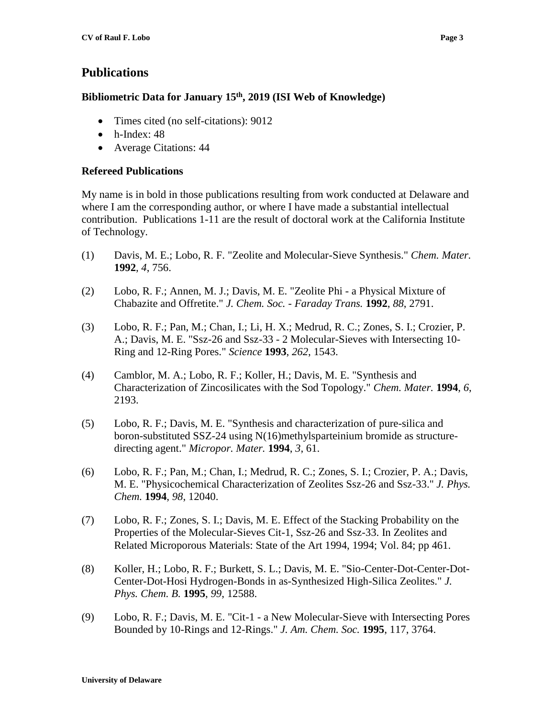## **Publications**

## **Bibliometric Data for January 15th, 2019 (ISI Web of Knowledge)**

- Times cited (no self-citations): 9012
- $\bullet$  h-Index: 48
- Average Citations: 44

### **Refereed Publications**

My name is in bold in those publications resulting from work conducted at Delaware and where I am the corresponding author, or where I have made a substantial intellectual contribution. Publications 1-11 are the result of doctoral work at the California Institute of Technology.

- (1) Davis, M. E.; Lobo, R. F. "Zeolite and Molecular-Sieve Synthesis." *Chem. Mater.* **1992**, *4*, 756.
- (2) Lobo, R. F.; Annen, M. J.; Davis, M. E. "Zeolite Phi a Physical Mixture of Chabazite and Offretite." *J. Chem. Soc. - Faraday Trans.* **1992**, *88*, 2791.
- (3) Lobo, R. F.; Pan, M.; Chan, I.; Li, H. X.; Medrud, R. C.; Zones, S. I.; Crozier, P. A.; Davis, M. E. "Ssz-26 and Ssz-33 - 2 Molecular-Sieves with Intersecting 10- Ring and 12-Ring Pores." *Science* **1993**, *262*, 1543.
- (4) Camblor, M. A.; Lobo, R. F.; Koller, H.; Davis, M. E. "Synthesis and Characterization of Zincosilicates with the Sod Topology." *Chem. Mater.* **1994**, *6*, 2193.
- (5) Lobo, R. F.; Davis, M. E. "Synthesis and characterization of pure-silica and boron-substituted SSZ-24 using N(16)methylsparteinium bromide as structuredirecting agent." *Micropor. Mater.* **1994**, *3*, 61.
- (6) Lobo, R. F.; Pan, M.; Chan, I.; Medrud, R. C.; Zones, S. I.; Crozier, P. A.; Davis, M. E. "Physicochemical Characterization of Zeolites Ssz-26 and Ssz-33." *J. Phys. Chem.* **1994**, *98*, 12040.
- (7) Lobo, R. F.; Zones, S. I.; Davis, M. E. Effect of the Stacking Probability on the Properties of the Molecular-Sieves Cit-1, Ssz-26 and Ssz-33. In Zeolites and Related Microporous Materials: State of the Art 1994, 1994; Vol. 84; pp 461.
- (8) Koller, H.; Lobo, R. F.; Burkett, S. L.; Davis, M. E. "Sio-Center-Dot-Center-Dot-Center-Dot-Hosi Hydrogen-Bonds in as-Synthesized High-Silica Zeolites." *J. Phys. Chem. B.* **1995**, *99*, 12588.
- (9) Lobo, R. F.; Davis, M. E. "Cit-1 a New Molecular-Sieve with Intersecting Pores Bounded by 10-Rings and 12-Rings." *J. Am. Chem. Soc.* **1995**, 117, 3764.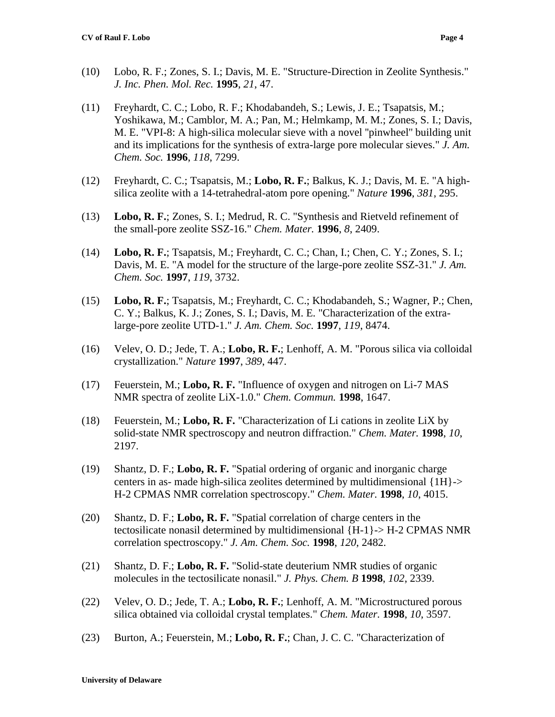- (10) Lobo, R. F.; Zones, S. I.; Davis, M. E. "Structure-Direction in Zeolite Synthesis." *J. Inc. Phen. Mol. Rec.* **1995**, *21*, 47.
- (11) Freyhardt, C. C.; Lobo, R. F.; Khodabandeh, S.; Lewis, J. E.; Tsapatsis, M.; Yoshikawa, M.; Camblor, M. A.; Pan, M.; Helmkamp, M. M.; Zones, S. I.; Davis, M. E. "VPI-8: A high-silica molecular sieve with a novel ''pinwheel'' building unit and its implications for the synthesis of extra-large pore molecular sieves." *J. Am. Chem. Soc.* **1996**, *118*, 7299.
- (12) Freyhardt, C. C.; Tsapatsis, M.; **Lobo, R. F.**; Balkus, K. J.; Davis, M. E. "A highsilica zeolite with a 14-tetrahedral-atom pore opening." *Nature* **1996**, *381*, 295.
- (13) **Lobo, R. F.**; Zones, S. I.; Medrud, R. C. "Synthesis and Rietveld refinement of the small-pore zeolite SSZ-16." *Chem. Mater.* **1996**, *8*, 2409.
- (14) **Lobo, R. F.**; Tsapatsis, M.; Freyhardt, C. C.; Chan, I.; Chen, C. Y.; Zones, S. I.; Davis, M. E. "A model for the structure of the large-pore zeolite SSZ-31." *J. Am. Chem. Soc.* **1997**, *119*, 3732.
- (15) **Lobo, R. F.**; Tsapatsis, M.; Freyhardt, C. C.; Khodabandeh, S.; Wagner, P.; Chen, C. Y.; Balkus, K. J.; Zones, S. I.; Davis, M. E. "Characterization of the extralarge-pore zeolite UTD-1." *J. Am. Chem. Soc.* **1997**, *119*, 8474.
- (16) Velev, O. D.; Jede, T. A.; **Lobo, R. F.**; Lenhoff, A. M. "Porous silica via colloidal crystallization." *Nature* **1997**, *389*, 447.
- (17) Feuerstein, M.; **Lobo, R. F.** "Influence of oxygen and nitrogen on Li-7 MAS NMR spectra of zeolite LiX-1.0." *Chem. Commun.* **1998**, 1647.
- (18) Feuerstein, M.; **Lobo, R. F.** "Characterization of Li cations in zeolite LiX by solid-state NMR spectroscopy and neutron diffraction." *Chem. Mater.* **1998**, *10*, 2197.
- (19) Shantz, D. F.; **Lobo, R. F.** "Spatial ordering of organic and inorganic charge centers in as- made high-silica zeolites determined by multidimensional {1H}-> H-2 CPMAS NMR correlation spectroscopy." *Chem. Mater.* **1998**, *10*, 4015.
- (20) Shantz, D. F.; **Lobo, R. F.** "Spatial correlation of charge centers in the tectosilicate nonasil determined by multidimensional {H-1}-> H-2 CPMAS NMR correlation spectroscopy." *J. Am. Chem. Soc.* **1998**, *120*, 2482.
- (21) Shantz, D. F.; **Lobo, R. F.** "Solid-state deuterium NMR studies of organic molecules in the tectosilicate nonasil." *J. Phys. Chem. B* **1998**, *102*, 2339.
- (22) Velev, O. D.; Jede, T. A.; **Lobo, R. F.**; Lenhoff, A. M. "Microstructured porous silica obtained via colloidal crystal templates." *Chem. Mater.* **1998**, *10*, 3597.
- (23) Burton, A.; Feuerstein, M.; **Lobo, R. F.**; Chan, J. C. C. "Characterization of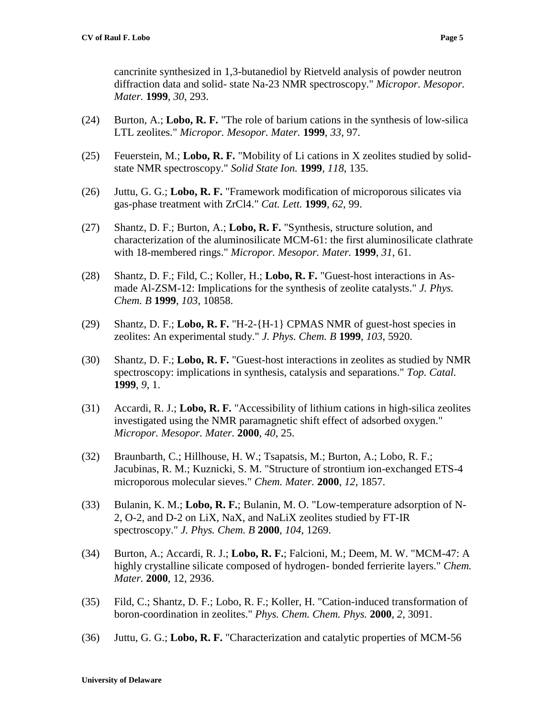- (24) Burton, A.; **Lobo, R. F.** "The role of barium cations in the synthesis of low-silica LTL zeolites." *Micropor. Mesopor. Mater.* **1999**, *33*, 97.
- (25) Feuerstein, M.; **Lobo, R. F.** "Mobility of Li cations in X zeolites studied by solidstate NMR spectroscopy." *Solid State Ion.* **1999**, *118*, 135.
- (26) Juttu, G. G.; **Lobo, R. F.** "Framework modification of microporous silicates via gas-phase treatment with ZrCl4." *Cat. Lett.* **1999**, *62*, 99.
- (27) Shantz, D. F.; Burton, A.; **Lobo, R. F.** "Synthesis, structure solution, and characterization of the aluminosilicate MCM-61: the first aluminosilicate clathrate with 18-membered rings." *Micropor. Mesopor. Mater.* **1999**, *31*, 61.
- (28) Shantz, D. F.; Fild, C.; Koller, H.; **Lobo, R. F.** "Guest-host interactions in Asmade Al-ZSM-12: Implications for the synthesis of zeolite catalysts." *J. Phys. Chem. B* **1999**, *103*, 10858.
- (29) Shantz, D. F.; **Lobo, R. F.** "H-2-{H-1} CPMAS NMR of guest-host species in zeolites: An experimental study." *J. Phys. Chem. B* **1999**, *103*, 5920.
- (30) Shantz, D. F.; **Lobo, R. F.** "Guest-host interactions in zeolites as studied by NMR spectroscopy: implications in synthesis, catalysis and separations." *Top. Catal.* **1999**, *9*, 1.
- (31) Accardi, R. J.; **Lobo, R. F.** "Accessibility of lithium cations in high-silica zeolites investigated using the NMR paramagnetic shift effect of adsorbed oxygen." *Micropor. Mesopor. Mater.* **2000**, *40*, 25.
- (32) Braunbarth, C.; Hillhouse, H. W.; Tsapatsis, M.; Burton, A.; Lobo, R. F.; Jacubinas, R. M.; Kuznicki, S. M. "Structure of strontium ion-exchanged ETS-4 microporous molecular sieves." *Chem. Mater.* **2000**, *12*, 1857.
- (33) Bulanin, K. M.; **Lobo, R. F.**; Bulanin, M. O. "Low-temperature adsorption of N-2, O-2, and D-2 on LiX, NaX, and NaLiX zeolites studied by FT-IR spectroscopy." *J. Phys. Chem. B* **2000**, *104*, 1269.
- (34) Burton, A.; Accardi, R. J.; **Lobo, R. F.**; Falcioni, M.; Deem, M. W. "MCM-47: A highly crystalline silicate composed of hydrogen- bonded ferrierite layers." *Chem. Mater.* **2000**, 12, 2936.
- (35) Fild, C.; Shantz, D. F.; Lobo, R. F.; Koller, H. "Cation-induced transformation of boron-coordination in zeolites." *Phys. Chem. Chem. Phys.* **2000**, *2*, 3091.
- (36) Juttu, G. G.; **Lobo, R. F.** "Characterization and catalytic properties of MCM-56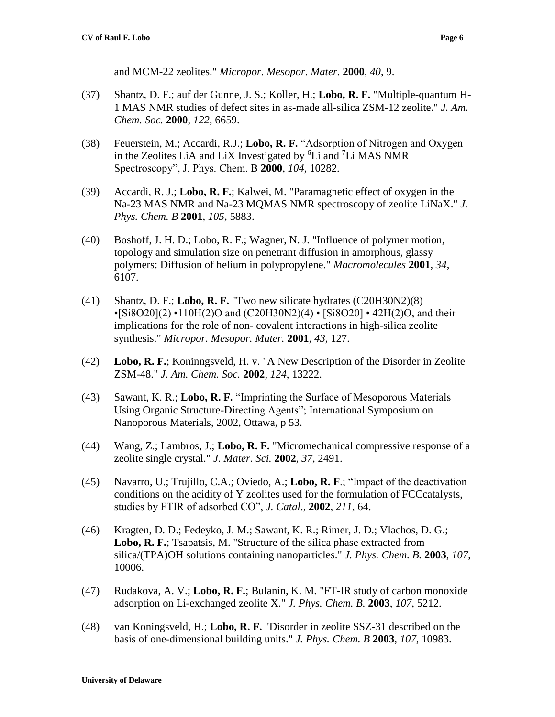and MCM-22 zeolites." *Micropor. Mesopor. Mater.* **2000**, *40*, 9.

- (37) Shantz, D. F.; auf der Gunne, J. S.; Koller, H.; **Lobo, R. F.** "Multiple-quantum H-1 MAS NMR studies of defect sites in as-made all-silica ZSM-12 zeolite." *J. Am. Chem. Soc.* **2000**, *122*, 6659.
- (38) Feuerstein, M.; Accardi, R.J.; **Lobo, R. F.** "Adsorption of Nitrogen and Oxygen in the Zeolites LiA and LiX Investigated by  ${}^{6}$ Li and  ${}^{7}$ Li MAS NMR Spectroscopy", J. Phys. Chem. B **2000**, *104*, 10282.
- (39) Accardi, R. J.; **Lobo, R. F.**; Kalwei, M. "Paramagnetic effect of oxygen in the Na-23 MAS NMR and Na-23 MQMAS NMR spectroscopy of zeolite LiNaX." *J. Phys. Chem. B* **2001**, *105*, 5883.
- (40) Boshoff, J. H. D.; Lobo, R. F.; Wagner, N. J. "Influence of polymer motion, topology and simulation size on penetrant diffusion in amorphous, glassy polymers: Diffusion of helium in polypropylene." *Macromolecules* **2001**, *34*, 6107.
- (41) Shantz, D. F.; **Lobo, R. F.** "Two new silicate hydrates (C20H30N2)(8)  $\cdot$ [Si8O20](2) $\cdot$ 110H(2)O and (C20H30N2)(4) $\cdot$  [Si8O20] $\cdot$ 42H(2)O, and their implications for the role of non- covalent interactions in high-silica zeolite synthesis." *Micropor. Mesopor. Mater.* **2001**, *43*, 127.
- (42) **Lobo, R. F.**; Koninngsveld, H. v. "A New Description of the Disorder in Zeolite ZSM-48." *J. Am. Chem. Soc.* **2002**, *124*, 13222.
- (43) Sawant, K. R.; **Lobo, R. F.** "Imprinting the Surface of Mesoporous Materials Using Organic Structure-Directing Agents"; International Symposium on Nanoporous Materials, 2002, Ottawa, p 53.
- (44) Wang, Z.; Lambros, J.; **Lobo, R. F.** "Micromechanical compressive response of a zeolite single crystal." *J. Mater. Sci.* **2002**, *37*, 2491.
- (45) Navarro, U.; Trujillo, C.A.; Oviedo, A.; **Lobo, R. F**.; "Impact of the deactivation conditions on the acidity of Y zeolites used for the formulation of FCCcatalysts, studies by FTIR of adsorbed CO", *J. Catal*., **2002**, *211*, 64.
- (46) Kragten, D. D.; Fedeyko, J. M.; Sawant, K. R.; Rimer, J. D.; Vlachos, D. G.; **Lobo, R. F.**; Tsapatsis, M. "Structure of the silica phase extracted from silica/(TPA)OH solutions containing nanoparticles." *J. Phys. Chem. B.* **2003**, *107*, 10006.
- (47) Rudakova, A. V.; **Lobo, R. F.**; Bulanin, K. M. "FT-IR study of carbon monoxide adsorption on Li-exchanged zeolite X." *J. Phys. Chem. B.* **2003**, *107*, 5212.
- (48) van Koningsveld, H.; **Lobo, R. F.** "Disorder in zeolite SSZ-31 described on the basis of one-dimensional building units." *J. Phys. Chem. B* **2003**, *107*, 10983.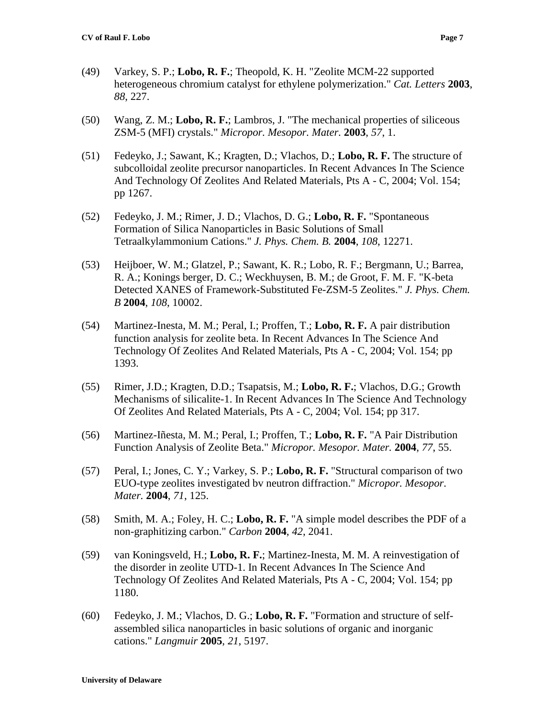- (49) Varkey, S. P.; **Lobo, R. F.**; Theopold, K. H. "Zeolite MCM-22 supported heterogeneous chromium catalyst for ethylene polymerization." *Cat. Letters* **2003**, *88*, 227.
- (50) Wang, Z. M.; **Lobo, R. F.**; Lambros, J. "The mechanical properties of siliceous ZSM-5 (MFI) crystals." *Micropor. Mesopor. Mater.* **2003**, *57*, 1.
- (51) Fedeyko, J.; Sawant, K.; Kragten, D.; Vlachos, D.; **Lobo, R. F.** The structure of subcolloidal zeolite precursor nanoparticles. In Recent Advances In The Science And Technology Of Zeolites And Related Materials, Pts A - C, 2004; Vol. 154; pp 1267.
- (52) Fedeyko, J. M.; Rimer, J. D.; Vlachos, D. G.; **Lobo, R. F.** "Spontaneous Formation of Silica Nanoparticles in Basic Solutions of Small Tetraalkylammonium Cations." *J. Phys. Chem. B.* **2004**, *108*, 12271.
- (53) Heijboer, W. M.; Glatzel, P.; Sawant, K. R.; Lobo, R. F.; Bergmann, U.; Barrea, R. A.; Konings berger, D. C.; Weckhuysen, B. M.; de Groot, F. M. F. "K-beta Detected XANES of Framework-Substituted Fe-ZSM-5 Zeolites." *J. Phys. Chem. B* **2004**, *108*, 10002.
- (54) Martinez-Inesta, M. M.; Peral, I.; Proffen, T.; **Lobo, R. F.** A pair distribution function analysis for zeolite beta. In Recent Advances In The Science And Technology Of Zeolites And Related Materials, Pts A - C, 2004; Vol. 154; pp 1393.
- (55) Rimer, J.D.; Kragten, D.D.; Tsapatsis, M.; **Lobo, R. F.**; Vlachos, D.G.; Growth Mechanisms of silicalite-1. In Recent Advances In The Science And Technology Of Zeolites And Related Materials, Pts A - C, 2004; Vol. 154; pp 317.
- (56) Martinez-Iñesta, M. M.; Peral, I.; Proffen, T.; **Lobo, R. F.** "A Pair Distribution Function Analysis of Zeolite Beta." *Micropor. Mesopor. Mater.* **2004**, *77*, 55.
- (57) Peral, I.; Jones, C. Y.; Varkey, S. P.; **Lobo, R. F.** "Structural comparison of two EUO-type zeolites investigated bv neutron diffraction." *Micropor. Mesopor. Mater.* **2004**, *71*, 125.
- (58) Smith, M. A.; Foley, H. C.; **Lobo, R. F.** "A simple model describes the PDF of a non-graphitizing carbon." *Carbon* **2004**, *42*, 2041.
- (59) van Koningsveld, H.; **Lobo, R. F.**; Martinez-Inesta, M. M. A reinvestigation of the disorder in zeolite UTD-1. In Recent Advances In The Science And Technology Of Zeolites And Related Materials, Pts A - C, 2004; Vol. 154; pp 1180.
- (60) Fedeyko, J. M.; Vlachos, D. G.; **Lobo, R. F.** "Formation and structure of selfassembled silica nanoparticles in basic solutions of organic and inorganic cations." *Langmuir* **2005**, *21*, 5197.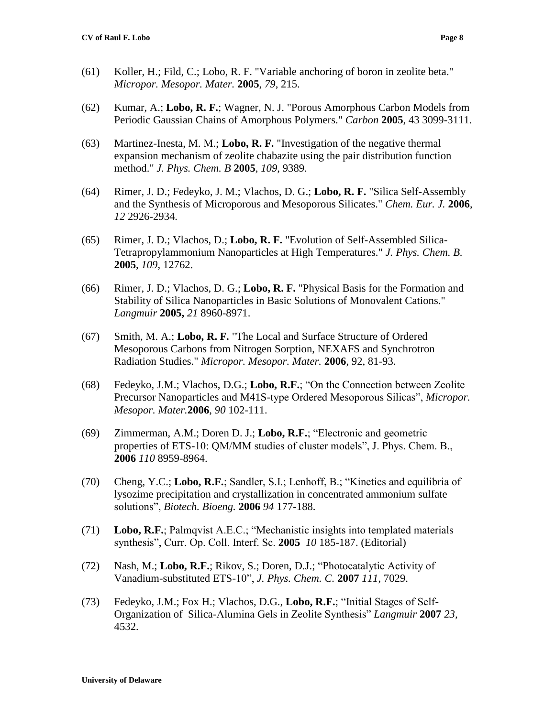- (61) Koller, H.; Fild, C.; Lobo, R. F. "Variable anchoring of boron in zeolite beta." *Micropor. Mesopor. Mater.* **2005**, *79*, 215.
- (62) Kumar, A.; **Lobo, R. F.**; Wagner, N. J. "Porous Amorphous Carbon Models from Periodic Gaussian Chains of Amorphous Polymers." *Carbon* **2005**, 43 3099-3111.
- (63) Martinez-Inesta, M. M.; **Lobo, R. F.** "Investigation of the negative thermal expansion mechanism of zeolite chabazite using the pair distribution function method." *J. Phys. Chem. B* **2005**, *109*, 9389.
- (64) Rimer, J. D.; Fedeyko, J. M.; Vlachos, D. G.; **Lobo, R. F.** "Silica Self-Assembly and the Synthesis of Microporous and Mesoporous Silicates." *Chem. Eur. J.* **2006**, *12* 2926-2934.
- (65) Rimer, J. D.; Vlachos, D.; **Lobo, R. F.** "Evolution of Self-Assembled Silica-Tetrapropylammonium Nanoparticles at High Temperatures." *J. Phys. Chem. B.* **2005**, *109*, 12762.
- (66) Rimer, J. D.; Vlachos, D. G.; **Lobo, R. F.** "Physical Basis for the Formation and Stability of Silica Nanoparticles in Basic Solutions of Monovalent Cations." *Langmuir* **2005,** *21* 8960-8971.
- (67) Smith, M. A.; **Lobo, R. F.** "The Local and Surface Structure of Ordered Mesoporous Carbons from Nitrogen Sorption, NEXAFS and Synchrotron Radiation Studies." *Micropor. Mesopor. Mater.* **2006**, 92, 81-93.
- (68) Fedeyko, J.M.; Vlachos, D.G.; **Lobo, R.F.**; "On the Connection between Zeolite Precursor Nanoparticles and M41S-type Ordered Mesoporous Silicas", *Micropor. Mesopor. Mater.***2006**, *90* 102-111.
- (69) Zimmerman, A.M.; Doren D. J.; **Lobo, R.F.**; "Electronic and geometric properties of ETS-10: QM/MM studies of cluster models", J. Phys. Chem. B., **2006** *110* 8959-8964.
- (70) Cheng, Y.C.; **Lobo, R.F.**; Sandler, S.I.; Lenhoff, B.; "Kinetics and equilibria of lysozime precipitation and crystallization in concentrated ammonium sulfate solutions", *Biotech. Bioeng.* **2006** *94* 177-188.
- (71) **Lobo, R.F.**; Palmqvist A.E.C.; "Mechanistic insights into templated materials synthesis", Curr. Op. Coll. Interf. Sc. **2005** *10* 185-187. (Editorial)
- (72) Nash, M.; **Lobo, R.F.**; Rikov, S.; Doren, D.J.; "Photocatalytic Activity of Vanadium-substituted ETS-10", *J. Phys. Chem. C.* **2007** *111*, 7029.
- (73) Fedeyko, J.M.; Fox H.; Vlachos, D.G., **Lobo, R.F.**; "Initial Stages of Self-Organization of Silica-Alumina Gels in Zeolite Synthesis" *Langmuir* **2007** *23,* 4532.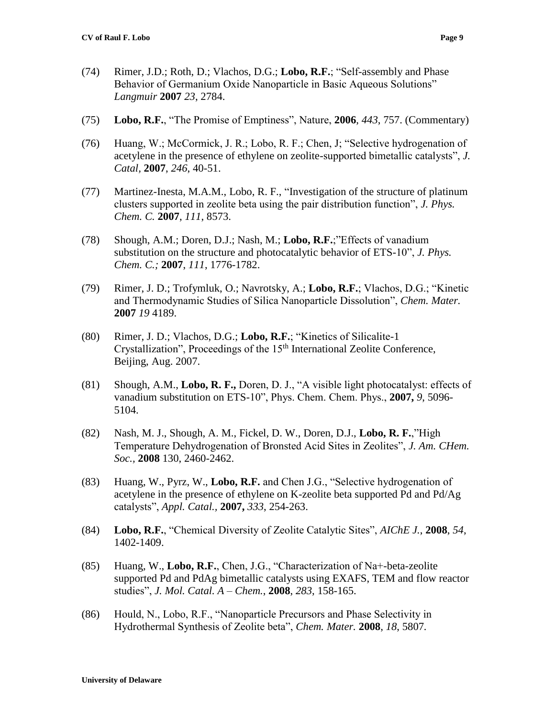- (74) Rimer, J.D.; Roth, D.; Vlachos, D.G.; **Lobo, R.F.**; "Self-assembly and Phase Behavior of Germanium Oxide Nanoparticle in Basic Aqueous Solutions" *Langmuir* **2007** *23*, 2784.
- (75) **Lobo, R.F.**, "The Promise of Emptiness", Nature, **2006**, *443*, 757. (Commentary)
- (76) Huang, W.; McCormick, J. R.; Lobo, R. F.; Chen, J; "Selective hydrogenation of acetylene in the presence of ethylene on zeolite-supported bimetallic catalysts", *J. Catal,* **2007**, *246*, 40-51.
- (77) Martinez-Inesta, M.A.M., Lobo, R. F., "Investigation of the structure of platinum clusters supported in zeolite beta using the pair distribution function", *J. Phys. Chem. C.* **2007**, *111*, 8573.
- (78) Shough, A.M.; Doren, D.J.; Nash, M.; **Lobo, R.F.**;"Effects of vanadium substitution on the structure and photocatalytic behavior of ETS-10", *J. Phys. Chem. C.;* **2007**, *111*, 1776-1782.
- (79) Rimer, J. D.; Trofymluk, O.; Navrotsky, A.; **Lobo, R.F.**; Vlachos, D.G.; "Kinetic and Thermodynamic Studies of Silica Nanoparticle Dissolution", *Chem. Mater.* **2007** *19* 4189.
- (80) Rimer, J. D.; Vlachos, D.G.; **Lobo, R.F.**; "Kinetics of Silicalite-1 Crystallization", Proceedings of the  $15<sup>th</sup>$  International Zeolite Conference, Beijing, Aug. 2007.
- (81) Shough, A.M., **Lobo, R. F.,** Doren, D. J., "A visible light photocatalyst: effects of vanadium substitution on ETS-10", Phys. Chem. Chem. Phys., **2007,** *9*, 5096- 5104.
- (82) Nash, M. J., Shough, A. M., Fickel, D. W., Doren, D.J., **Lobo, R. F.**,"High Temperature Dehydrogenation of Bronsted Acid Sites in Zeolites", *J. Am. CHem. Soc.,* **2008** 130, 2460-2462.
- (83) Huang, W., Pyrz, W., **Lobo, R.F.** and Chen J.G., "Selective hydrogenation of acetylene in the presence of ethylene on K-zeolite beta supported Pd and Pd/Ag catalysts", *Appl. Catal.,* **2007,** *333*, 254-263.
- (84) **Lobo, R.F.**, "Chemical Diversity of Zeolite Catalytic Sites", *AIChE J.*, **2008**, *54*, 1402-1409.
- (85) Huang, W., **Lobo, R.F.**, Chen, J.G., "Characterization of Na+-beta-zeolite supported Pd and PdAg bimetallic catalysts using EXAFS, TEM and flow reactor studies", *J. Mol. Catal. A – Chem.*, **2008**, *283*, 158-165.
- (86) Hould, N., Lobo, R.F., "Nanoparticle Precursors and Phase Selectivity in Hydrothermal Synthesis of Zeolite beta", *Chem. Mater.* **2008**, *18*, 5807*.*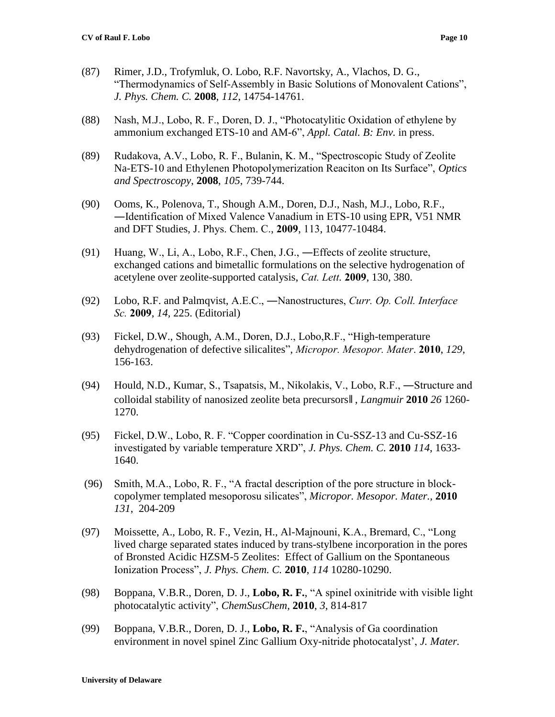- (87) Rimer, J.D., Trofymluk, O. Lobo, R.F. Navortsky, A., Vlachos, D. G., "Thermodynamics of Self-Assembly in Basic Solutions of Monovalent Cations", *J. Phys. Chem. C.* **2008**, *112*, 14754-14761.
- (88) Nash, M.J., Lobo, R. F., Doren, D. J., "Photocatylitic Oxidation of ethylene by ammonium exchanged ETS-10 and AM-6", *Appl. Catal. B: Env.* in press.
- (89) Rudakova, A.V., Lobo, R. F., Bulanin, K. M., "Spectroscopic Study of Zeolite Na-ETS-10 and Ethylenen Photopolymerization Reaciton on Its Surface", *Optics and Spectroscopy*, **2008**, *105*, 739-744.
- (90) Ooms, K., Polenova, T., Shough A.M., Doren, D.J., Nash, M.J., Lobo, R.F., ―Identification of Mixed Valence Vanadium in ETS-10 using EPR, V51 NMR and DFT Studies, J. Phys. Chem. C., **2009**, 113, 10477-10484.
- (91) Huang, W., Li, A., Lobo, R.F., Chen, J.G., ―Effects of zeolite structure, exchanged cations and bimetallic formulations on the selective hydrogenation of acetylene over zeolite-supported catalysis, *Cat. Lett.* **2009**, 130, 380.
- (92) Lobo, R.F. and Palmqvist, A.E.C., ―Nanostructures, *Curr. Op. Coll. Interface Sc.* **2009**, *14,* 225. (Editorial)
- (93) Fickel, D.W., Shough, A.M., Doren, D.J., Lobo,R.F., "High-temperature dehydrogenation of defective silicalites", *Micropor. Mesopor. Mater*. **2010**, *129*, 156-163.
- (94) Hould, N.D., Kumar, S., Tsapatsis, M., Nikolakis, V., Lobo, R.F., ―Structure and colloidal stability of nanosized zeolite beta precursors‖ , *Langmuir* **2010** *26* 1260- 1270.
- (95) Fickel, D.W., Lobo, R. F. "Copper coordination in Cu-SSZ-13 and Cu-SSZ-16 investigated by variable temperature XRD", *J. Phys. Chem. C.* **2010** *114*, 1633- 1640.
- (96) Smith, M.A., Lobo, R. F., "A fractal description of the pore structure in blockcopolymer templated mesoporosu silicates", *Micropor. Mesopor. Mater.,* **2010** *131*, 204-209
- (97) Moissette, A., Lobo, R. F., Vezin, H., Al-Majnouni, K.A., Bremard, C., "Long lived charge separated states induced by trans-stylbene incorporation in the pores of Bronsted Acidic HZSM-5 Zeolites: Effect of Gallium on the Spontaneous Ionization Process", *J. Phys. Chem. C.* **2010**, *114* 10280-10290.
- (98) Boppana, V.B.R., Doren, D. J., **Lobo, R. F.**, "A spinel oxinitride with visible light photocatalytic activity", *ChemSusChem,* **2010**, *3*, 814-817
- (99) Boppana, V.B.R., Doren, D. J., **Lobo, R. F.**, "Analysis of Ga coordination environment in novel spinel Zinc Gallium Oxy-nitride photocatalyst', *J. Mater.*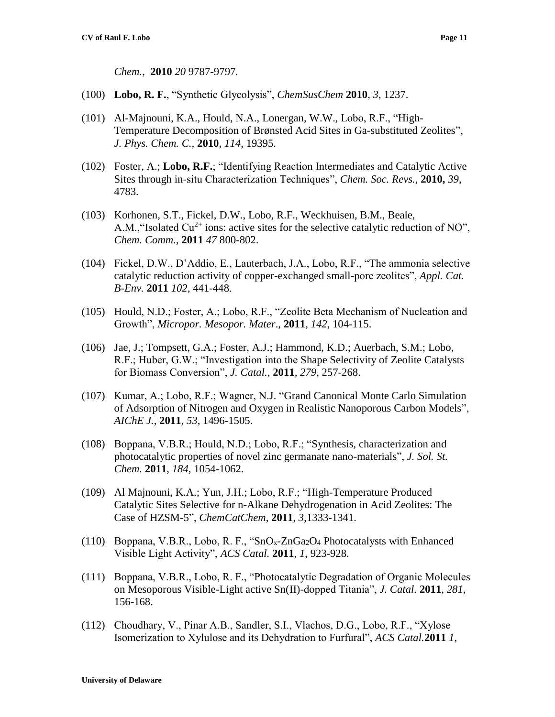*Chem.,* **2010** *20* 9787-9797*.*

- (100) **Lobo, R. F.**, "Synthetic Glycolysis", *ChemSusChem* **2010**, *3*, 1237.
- (101) Al-Majnouni, K.A., Hould, N.A., Lonergan, W.W., Lobo, R.F., "High-Temperature Decomposition of Brønsted Acid Sites in Ga-substituted Zeolites", *J. Phys. Chem. C.,* **2010**, *114*, 19395.
- (102) Foster, A.; **Lobo, R.F.**; "Identifying Reaction Intermediates and Catalytic Active Sites through in-situ Characterization Techniques", *Chem. Soc. Revs.,* **2010,** *39*, 4783.
- (103) Korhonen, S.T., Fickel, D.W., Lobo, R.F., Weckhuisen, B.M., Beale, A.M., "Isolated  $Cu^{2+}$  ions: active sites for the selective catalytic reduction of NO", *Chem. Comm.,* **2011** *47* 800-802.
- (104) Fickel, D.W., D'Addio, E., Lauterbach, J.A., Lobo, R.F., "The ammonia selective catalytic reduction activity of copper-exchanged small-pore zeolites", *Appl. Cat. B-Env.* **2011** *102*, 441-448.
- (105) Hould, N.D.; Foster, A.; Lobo, R.F., "Zeolite Beta Mechanism of Nucleation and Growth", *Micropor. Mesopor. Mater*., **2011**, *142*, 104-115.
- (106) Jae, J.; Tompsett, G.A.; Foster, A.J.; Hammond, K.D.; Auerbach, S.M.; Lobo, R.F.; Huber, G.W.; "Investigation into the Shape Selectivity of Zeolite Catalysts for Biomass Conversion", *J. Catal.*, **2011**, *279*, 257-268.
- (107) Kumar, A.; Lobo, R.F.; Wagner, N.J. "Grand Canonical Monte Carlo Simulation of Adsorption of Nitrogen and Oxygen in Realistic Nanoporous Carbon Models", *AIChE J.*, **2011**, *53*, 1496-1505.
- (108) Boppana, V.B.R.; Hould, N.D.; Lobo, R.F.; "Synthesis, characterization and photocatalytic properties of novel zinc germanate nano-materials", *J. Sol. St. Chem.* **2011**, *184*, 1054-1062.
- (109) Al Majnouni, K.A.; Yun, J.H.; Lobo, R.F.; "High-Temperature Produced Catalytic Sites Selective for n-Alkane Dehydrogenation in Acid Zeolites: The Case of HZSM-5", *ChemCatChem*, **2011**, *3*,1333-1341.
- (110) Boppana, V.B.R., Lobo, R. F., "SnOx-ZnGa2O<sup>4</sup> Photocatalysts with Enhanced Visible Light Activity", *ACS Catal.* **2011**, *1*, 923-928.
- (111) Boppana, V.B.R., Lobo, R. F., "Photocatalytic Degradation of Organic Molecules on Mesoporous Visible-Light active Sn(II)-dopped Titania", *J. Catal.* **2011**, *281*, 156-168.
- (112) Choudhary, V., Pinar A.B., Sandler, S.I., Vlachos, D.G., Lobo, R.F., "Xylose Isomerization to Xylulose and its Dehydration to Furfural", *ACS Catal.***2011** *1*,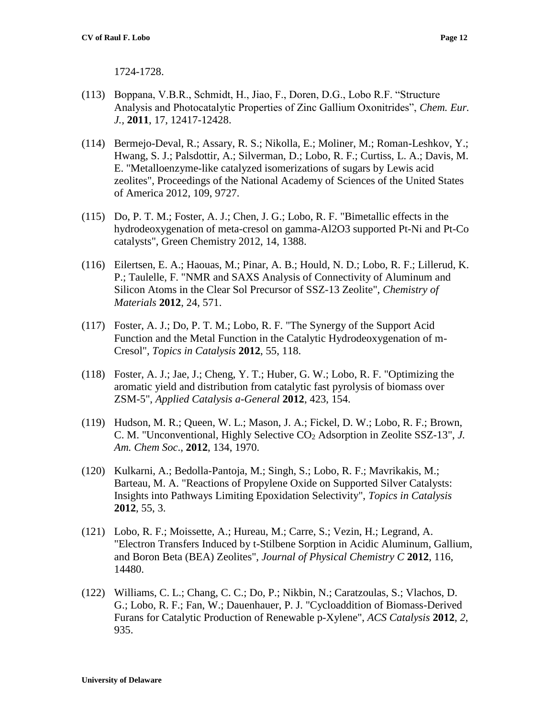1724-1728.

- (113) Boppana, V.B.R., Schmidt, H., Jiao, F., Doren, D.G., Lobo R.F. "Structure Analysis and Photocatalytic Properties of Zinc Gallium Oxonitrides", *Chem. Eur. J.,* **2011**, 17, 12417-12428.
- (114) Bermejo-Deval, R.; Assary, R. S.; Nikolla, E.; Moliner, M.; Roman-Leshkov, Y.; Hwang, S. J.; Palsdottir, A.; Silverman, D.; Lobo, R. F.; Curtiss, L. A.; Davis, M. E. "Metalloenzyme-like catalyzed isomerizations of sugars by Lewis acid zeolites", Proceedings of the National Academy of Sciences of the United States of America 2012, 109, 9727.
- (115) Do, P. T. M.; Foster, A. J.; Chen, J. G.; Lobo, R. F. "Bimetallic effects in the hydrodeoxygenation of meta-cresol on gamma-Al2O3 supported Pt-Ni and Pt-Co catalysts", Green Chemistry 2012, 14, 1388.
- (116) Eilertsen, E. A.; Haouas, M.; Pinar, A. B.; Hould, N. D.; Lobo, R. F.; Lillerud, K. P.; Taulelle, F. "NMR and SAXS Analysis of Connectivity of Aluminum and Silicon Atoms in the Clear Sol Precursor of SSZ-13 Zeolite", *Chemistry of Materials* **2012**, 24, 571.
- (117) Foster, A. J.; Do, P. T. M.; Lobo, R. F. "The Synergy of the Support Acid Function and the Metal Function in the Catalytic Hydrodeoxygenation of m-Cresol", *Topics in Catalysis* **2012**, 55, 118.
- (118) Foster, A. J.; Jae, J.; Cheng, Y. T.; Huber, G. W.; Lobo, R. F. "Optimizing the aromatic yield and distribution from catalytic fast pyrolysis of biomass over ZSM-5", *Applied Catalysis a-General* **2012**, 423, 154.
- (119) Hudson, M. R.; Queen, W. L.; Mason, J. A.; Fickel, D. W.; Lobo, R. F.; Brown, C. M. "Unconventional, Highly Selective CO<sup>2</sup> Adsorption in Zeolite SSZ-13", *J. Am. Chem Soc*., **2012**, 134, 1970.
- (120) Kulkarni, A.; Bedolla-Pantoja, M.; Singh, S.; Lobo, R. F.; Mavrikakis, M.; Barteau, M. A. "Reactions of Propylene Oxide on Supported Silver Catalysts: Insights into Pathways Limiting Epoxidation Selectivity", *Topics in Catalysis*  **2012**, 55, 3.
- (121) Lobo, R. F.; Moissette, A.; Hureau, M.; Carre, S.; Vezin, H.; Legrand, A. "Electron Transfers Induced by t-Stilbene Sorption in Acidic Aluminum, Gallium, and Boron Beta (BEA) Zeolites", *Journal of Physical Chemistry C* **2012**, 116, 14480.
- (122) Williams, C. L.; Chang, C. C.; Do, P.; Nikbin, N.; Caratzoulas, S.; Vlachos, D. G.; Lobo, R. F.; Fan, W.; Dauenhauer, P. J. "Cycloaddition of Biomass-Derived Furans for Catalytic Production of Renewable p-Xylene", *ACS Catalysis* **2012**, *2*, 935.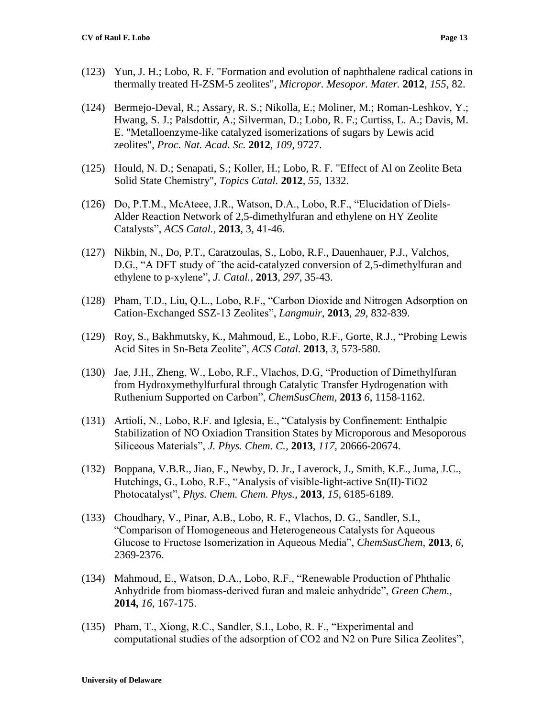- (123) Yun, J. H.; Lobo, R. F. "Formation and evolution of naphthalene radical cations in thermally treated H-ZSM-5 zeolites", *Micropor. Mesopor. Mater.* **2012**, *155*, 82.
- (124) Bermejo-Deval, R.; Assary, R. S.; Nikolla, E.; Moliner, M.; Roman-Leshkov, Y.; Hwang, S. J.; Palsdottir, A.; Silverman, D.; Lobo, R. F.; Curtiss, L. A.; Davis, M. E. "Metalloenzyme-like catalyzed isomerizations of sugars by Lewis acid zeolites", *Proc. Nat. Acad. Sc.* **2012**, *109*, 9727.
- (125) Hould, N. D.; Senapati, S.; Koller, H.; Lobo, R. F. "Effect of Al on Zeolite Beta Solid State Chemistry", *Topics Catal.* **2012**, *55*, 1332.
- (126) Do, P.T.M., McAteee, J.R., Watson, D.A., Lobo, R.F., "Elucidation of Diels-Alder Reaction Network of 2,5-dimethylfuran and ethylene on HY Zeolite Catalysts", *ACS Catal.,* **2013**, 3, 41-46.
- (127) Nikbin, N., Do, P.T., Caratzoulas, S., Lobo, R.F., Dauenhauer, P.J., Valchos, D.G., "A DFT study of ¨the acid-catalyzed conversion of 2,5-dimethylfuran and ethylene to p-xylene", *J. Catal.,* **2013**, *297*, 35-43.
- (128) Pham, T.D., Liu, Q.L., Lobo, R.F., "Carbon Dioxide and Nitrogen Adsorption on Cation-Exchanged SSZ-13 Zeolites", *Langmuir*, **2013**, *29*, 832-839.
- (129) Roy, S., Bakhmutsky, K., Mahmoud, E., Lobo, R.F., Gorte, R.J., "Probing Lewis Acid Sites in Sn-Beta Zeolite", *ACS Catal.* **2013**, *3*, 573-580.
- (130) Jae, J.H., Zheng, W., Lobo, R.F., Vlachos, D.G, "Production of Dimethylfuran from Hydroxymethylfurfural through Catalytic Transfer Hydrogenation with Ruthenium Supported on Carbon", *ChemSusChem*, **2013** *6*, 1158-1162.
- (131) Artioli, N., Lobo, R.F. and Iglesia, E., "Catalysis by Confinement: Enthalpic Stabilization of NO Oxiadion Transition States by Microporous and Mesoporous Siliceous Materials", *J. Phys. Chem. C.,* **2013**, *117*, 20666-20674.
- (132) Boppana, V.B.R., Jiao, F., Newby, D. Jr., Laverock, J., Smith, K.E., Juma, J.C., Hutchings, G., Lobo, R.F., "Analysis of visible-light-active Sn(II)-TiO2 Photocatalyst", *Phys. Chem. Chem. Phys.,* **2013**, *15*, 6185-6189.
- (133) Choudhary, V., Pinar, A.B., Lobo, R. F., Vlachos, D. G., Sandler, S.I., "Comparison of Homogeneous and Heterogeneous Catalysts for Aqueous Glucose to Fructose Isomerization in Aqueous Media", *ChemSusChem*, **2013**, *6*, 2369-2376.
- (134) Mahmoud, E., Watson, D.A., Lobo, R.F., "Renewable Production of Phthalic Anhydride from biomass-derived furan and maleic anhydride", *Green Chem.,* **2014,** *16*, 167-175.
- (135) Pham, T., Xiong, R.C., Sandler, S.I., Lobo, R. F., "Experimental and computational studies of the adsorption of CO2 and N2 on Pure Silica Zeolites",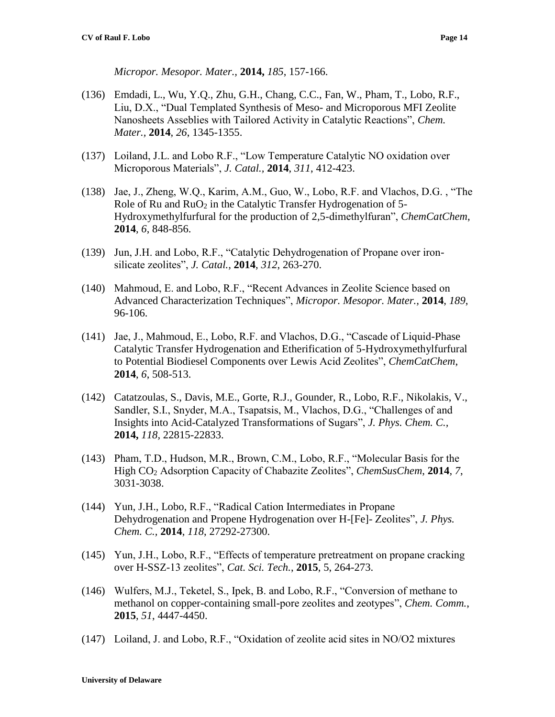*Micropor. Mesopor. Mater.,* **2014,** *185*, 157-166.

- (136) Emdadi, L., Wu, Y.Q., Zhu, G.H., Chang, C.C., Fan, W., Pham, T., Lobo, R.F., Liu, D.X., "Dual Templated Synthesis of Meso- and Microporous MFI Zeolite Nanosheets Asseblies with Tailored Activity in Catalytic Reactions", *Chem. Mater.,* **2014**, *26*, 1345-1355.
- (137) Loiland, J.L. and Lobo R.F., "Low Temperature Catalytic NO oxidation over Microporous Materials", *J. Catal.,* **2014**, *311*, 412-423.
- (138) Jae, J., Zheng, W.Q., Karim, A.M., Guo, W., Lobo, R.F. and Vlachos, D.G. , "The Role of Ru and  $RuO<sub>2</sub>$  in the Catalytic Transfer Hydrogenation of 5-Hydroxymethylfurfural for the production of 2,5-dimethylfuran", *ChemCatChem*, **2014**, *6*, 848-856.
- (139) Jun, J.H. and Lobo, R.F., "Catalytic Dehydrogenation of Propane over ironsilicate zeolites", *J. Catal.,* **2014**, *312*, 263-270.
- (140) Mahmoud, E. and Lobo, R.F., "Recent Advances in Zeolite Science based on Advanced Characterization Techniques", *Micropor. Mesopor. Mater.,* **2014**, *189*, 96-106.
- (141) Jae, J., Mahmoud, E., Lobo, R.F. and Vlachos, D.G., "Cascade of Liquid-Phase Catalytic Transfer Hydrogenation and Etherification of 5-Hydroxymethylfurfural to Potential Biodiesel Components over Lewis Acid Zeolites", *ChemCatChem*, **2014**, *6*, 508-513.
- (142) Catatzoulas, S., Davis, M.E., Gorte, R.J., Gounder, R., Lobo, R.F., Nikolakis, V., Sandler, S.I., Snyder, M.A., Tsapatsis, M., Vlachos, D.G., "Challenges of and Insights into Acid-Catalyzed Transformations of Sugars", *J. Phys. Chem. C.,*  **2014,** *118,* 22815-22833.
- (143) Pham, T.D., Hudson, M.R., Brown, C.M., Lobo, R.F., "Molecular Basis for the High CO<sup>2</sup> Adsorption Capacity of Chabazite Zeolites", *ChemSusChem*, **2014**, *7*, 3031-3038.
- (144) Yun, J.H., Lobo, R.F., "Radical Cation Intermediates in Propane Dehydrogenation and Propene Hydrogenation over H-[Fe]- Zeolites", *J. Phys. Chem. C.,* **2014**, *118*, 27292-27300.
- (145) Yun, J.H., Lobo, R.F., "Effects of temperature pretreatment on propane cracking over H-SSZ-13 zeolites", *Cat. Sci. Tech.*, **2015**, 5, 264-273.
- (146) Wulfers, M.J., Teketel, S., Ipek, B. and Lobo, R.F., "Conversion of methane to methanol on copper-containing small-pore zeolites and zeotypes", *Chem. Comm.*, **2015**, *51*, 4447-4450.
- (147) Loiland, J. and Lobo, R.F., "Oxidation of zeolite acid sites in NO/O2 mixtures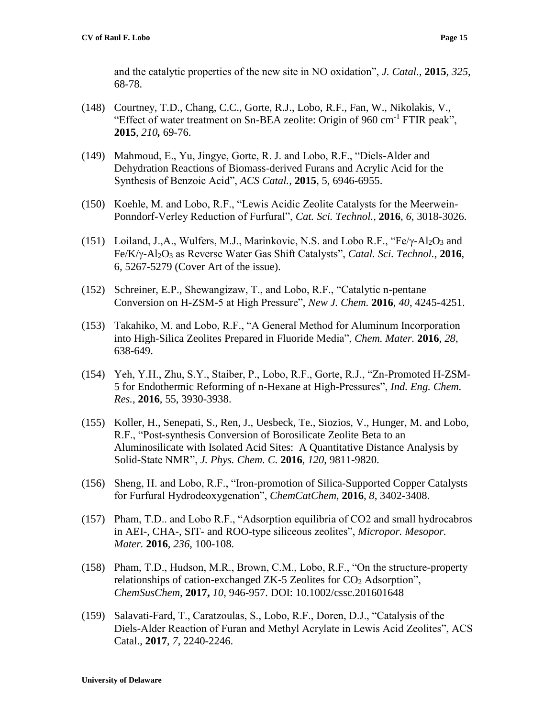and the catalytic properties of the new site in NO oxidation", *J. Catal.,* **2015**, *325*, 68-78.

- (148) Courtney, T.D., Chang, C.C., Gorte, R.J., Lobo, R.F., Fan, W., Nikolakis, V., "Effect of water treatment on Sn-BEA zeolite: Origin of 960 cm-1 FTIR peak", **2015**, *210,* 69-76.
- (149) Mahmoud, E., Yu, Jingye, Gorte, R. J. and Lobo, R.F., "Diels-Alder and Dehydration Reactions of Biomass-derived Furans and Acrylic Acid for the Synthesis of Benzoic Acid", *ACS Catal.,* **2015**, 5, 6946-6955.
- (150) Koehle, M. and Lobo, R.F., "Lewis Acidic Zeolite Catalysts for the Meerwein-Ponndorf-Verley Reduction of Furfural", *Cat. Sci. Technol.,* **2016**, *6*, 3018-3026.
- (151) Loiland, J.,A., Wulfers, M.J., Marinkovic, N.S. and Lobo R.F., " $Fe/\gamma$ -Al<sub>2</sub>O<sub>3</sub> and Fe/K/-Al2O<sup>3</sup> as Reverse Water Gas Shift Catalysts", *Catal. Sci. Technol.*, **2016**, 6, 5267-5279 (Cover Art of the issue).
- (152) Schreiner, E.P., Shewangizaw, T., and Lobo, R.F., "Catalytic n-pentane Conversion on H-ZSM-5 at High Pressure", *New J. Chem.* **2016**, *40*, 4245-4251.
- (153) Takahiko, M. and Lobo, R.F., "A General Method for Aluminum Incorporation into High-Silica Zeolites Prepared in Fluoride Media", *Chem. Mater.* **2016**, *28*, 638-649.
- (154) Yeh, Y.H., Zhu, S.Y., Staiber, P., Lobo, R.F., Gorte, R.J., "Zn-Promoted H-ZSM-5 for Endothermic Reforming of n-Hexane at High-Pressures", *Ind. Eng. Chem. Res.*, **2016**, 55, 3930-3938.
- (155) Koller, H., Senepati, S., Ren, J., Uesbeck, Te., Siozios, V., Hunger, M. and Lobo, R.F., "Post-synthesis Conversion of Borosilicate Zeolite Beta to an Aluminosilicate with Isolated Acid Sites: A Quantitative Distance Analysis by Solid-State NMR", *J. Phys. Chem. C.* **2016**, *120*, 9811-9820.
- (156) Sheng, H. and Lobo, R.F., "Iron-promotion of Silica-Supported Copper Catalysts for Furfural Hydrodeoxygenation", *ChemCatChem,* **2016**, *8*, 3402-3408.
- (157) Pham, T.D.. and Lobo R.F., "Adsorption equilibria of CO2 and small hydrocabros in AEI-, CHA-, SIT- and ROO-type siliceous zeolites", *Micropor. Mesopor. Mater.* **2016***, 236*, 100-108.
- (158) Pham, T.D., Hudson, M.R., Brown, C.M., Lobo, R.F., "On the structure-property relationships of cation-exchanged ZK-5 Zeolites for  $CO<sub>2</sub>$  Adsorption", *ChemSusChem,* **2017,** *10*, 946-957. DOI: 10.1002/cssc.201601648
- (159) Salavati-Fard, T., Caratzoulas, S., Lobo, R.F., Doren, D.J., "Catalysis of the Diels-Alder Reaction of Furan and Methyl Acrylate in Lewis Acid Zeolites", ACS Catal., **2017**, *7*, 2240-2246.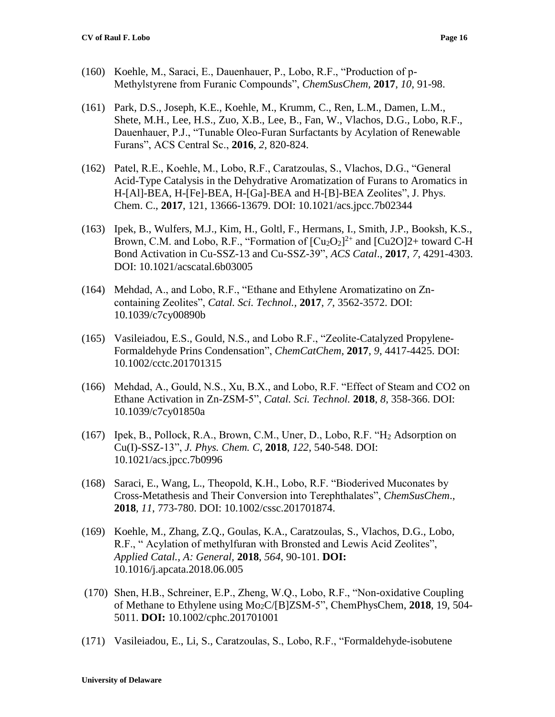- (160) Koehle, M., Saraci, E., Dauenhauer, P., Lobo, R.F., "Production of p-Methylstyrene from Furanic Compounds", *ChemSusChem,* **2017**, *10*, 91-98.
- (161) Park, D.S., Joseph, K.E., Koehle, M., Krumm, C., Ren, L.M., Damen, L.M., Shete, M.H., Lee, H.S., Zuo, X.B., Lee, B., Fan, W., Vlachos, D.G., Lobo, R.F., Dauenhauer, P.J., "Tunable Oleo-Furan Surfactants by Acylation of Renewable Furans", ACS Central Sc., **2016**, *2*, 820-824.
- (162) Patel, R.E., Koehle, M., Lobo, R.F., Caratzoulas, S., Vlachos, D.G., "General Acid-Type Catalysis in the Dehydrative Aromatization of Furans to Aromatics in H-[Al]-BEA, H-[Fe]-BEA, H-[Ga]-BEA and H-[B]-BEA Zeolites", J. Phys. Chem. C., **2017**, 121, 13666-13679. DOI: 10.1021/acs.jpcc.7b02344
- (163) Ipek, B., Wulfers, M.J., Kim, H., Goltl, F., Hermans, I., Smith, J.P., Booksh, K.S., Brown, C.M. and Lobo, R.F., "Formation of  $\left[\text{Cu}_2\text{O}_2\right]^{2+}$  and  $\left[\text{Cu}_2\text{O}_2\right]^{2+}$  toward C-H Bond Activation in Cu-SSZ-13 and Cu-SSZ-39", *ACS Catal*., **2017**, *7*, 4291-4303. DOI: 10.1021/acscatal.6b03005
- (164) Mehdad, A., and Lobo, R.F., "Ethane and Ethylene Aromatizatino on Zncontaining Zeolites", *Catal. Sci. Technol.,* **2017**, *7*, 3562-3572. DOI: 10.1039/c7cy00890b
- (165) Vasileiadou, E.S., Gould, N.S., and Lobo R.F., "Zeolite-Catalyzed Propylene-Formaldehyde Prins Condensation", *ChemCatChem*, **2017**, *9*, 4417-4425. DOI: 10.1002/cctc.201701315
- (166) Mehdad, A., Gould, N.S., Xu, B.X., and Lobo, R.F. "Effect of Steam and CO2 on Ethane Activation in Zn-ZSM-5", *Catal. Sci. Technol.* **2018**, *8*, 358-366. DOI: 10.1039/c7cy01850a
- (167) Ipek, B., Pollock, R.A., Brown, C.M., Uner, D., Lobo, R.F. "H<sup>2</sup> Adsorption on Cu(I)-SSZ-13", *J. Phys. Chem. C*, **2018**, *122*, 540-548. DOI: 10.1021/acs.jpcc.7b0996
- (168) Saraci, E., Wang, L., Theopold, K.H., Lobo, R.F. "Bioderived Muconates by Cross-Metathesis and Their Conversion into Terephthalates", *ChemSusChem*., **2018**, *11*, 773-780. DOI: 10.1002/cssc.201701874.
- (169) Koehle, M., Zhang, Z.Q., Goulas, K.A., Caratzoulas, S., Vlachos, D.G., Lobo, R.F., " Acylation of methylfuran with Bronsted and Lewis Acid Zeolites", *Applied Catal., A: General,* **2018**, *564*, 90-101. **DOI:** 10.1016/j.apcata.2018.06.005
- (170) Shen, H.B., Schreiner, E.P., Zheng, W.Q., Lobo, R.F., "Non-oxidative Coupling of Methane to Ethylene using Mo2C/[B]ZSM-5", ChemPhysChem, **2018**, 19, 504- 5011. **DOI:** 10.1002/cphc.201701001
- (171) Vasileiadou, E., Li, S., Caratzoulas, S., Lobo, R.F., "Formaldehyde-isobutene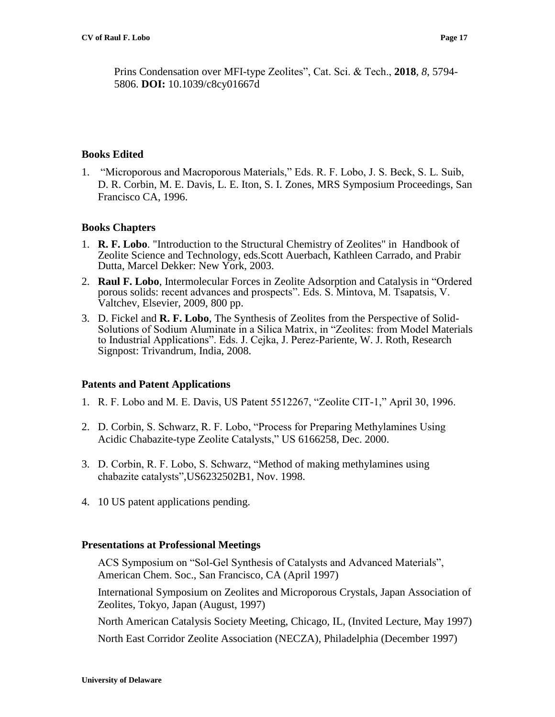Prins Condensation over MFI-type Zeolites", Cat. Sci. & Tech., **2018**, *8*, 5794- 5806. **DOI:** 10.1039/c8cy01667d

### **Books Edited**

1. "Microporous and Macroporous Materials," Eds. R. F. Lobo, J. S. Beck, S. L. Suib, D. R. Corbin, M. E. Davis, L. E. Iton, S. I. Zones, MRS Symposium Proceedings, San Francisco CA, 1996.

### **Books Chapters**

- 1. **R. F. Lobo**. "Introduction to the Structural Chemistry of Zeolites" in Handbook of Zeolite Science and Technology, eds.Scott Auerbach, Kathleen Carrado, and Prabir Dutta, Marcel Dekker: New York, 2003.
- 2. **Raul F. Lobo**, Intermolecular Forces in Zeolite Adsorption and Catalysis in "Ordered porous solids: recent advances and prospects". Eds. S. Mintova, M. Tsapatsis, V. Valtchev, Elsevier, 2009, 800 pp.
- 3. D. Fickel and **R. F. Lobo**, The Synthesis of Zeolites from the Perspective of Solid-Solutions of Sodium Aluminate in a Silica Matrix, in "Zeolites: from Model Materials to Industrial Applications". Eds. J. Cejka, J. Perez-Pariente, W. J. Roth, Research Signpost: Trivandrum, India, 2008.

## **Patents and Patent Applications**

- 1. R. F. Lobo and M. E. Davis, US Patent 5512267, "Zeolite CIT-1," April 30, 1996.
- 2. D. Corbin, S. Schwarz, R. F. Lobo, "Process for Preparing Methylamines Using Acidic Chabazite-type Zeolite Catalysts," US 6166258, Dec. 2000.
- 3. D. Corbin, R. F. Lobo, S. Schwarz, "Method of making methylamines using chabazite catalysts",US6232502B1, Nov. 1998.
- 4. 10 US patent applications pending.

#### **Presentations at Professional Meetings**

ACS Symposium on "Sol-Gel Synthesis of Catalysts and Advanced Materials", American Chem. Soc., San Francisco, CA (April 1997)

International Symposium on Zeolites and Microporous Crystals, Japan Association of Zeolites, Tokyo, Japan (August, 1997)

North American Catalysis Society Meeting, Chicago, IL, (Invited Lecture, May 1997)

North East Corridor Zeolite Association (NECZA), Philadelphia (December 1997)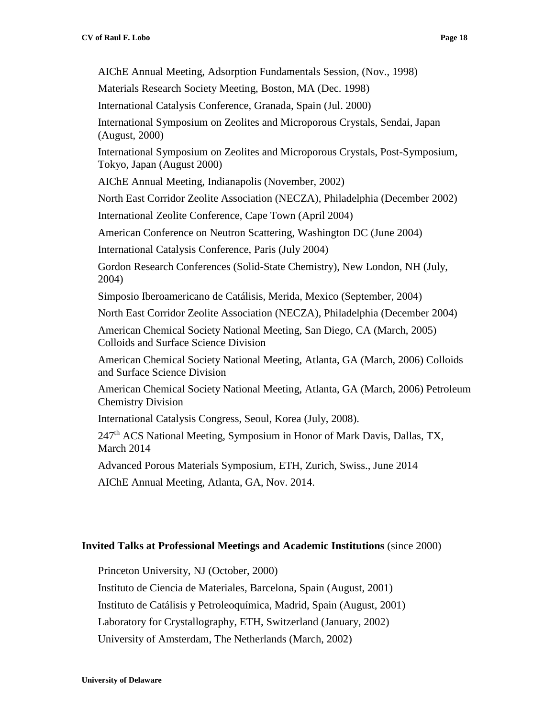AIChE Annual Meeting, Adsorption Fundamentals Session, (Nov., 1998)

Materials Research Society Meeting, Boston, MA (Dec. 1998)

International Catalysis Conference, Granada, Spain (Jul. 2000)

International Symposium on Zeolites and Microporous Crystals, Sendai, Japan (August, 2000)

International Symposium on Zeolites and Microporous Crystals, Post-Symposium, Tokyo, Japan (August 2000)

AIChE Annual Meeting, Indianapolis (November, 2002)

North East Corridor Zeolite Association (NECZA), Philadelphia (December 2002)

International Zeolite Conference, Cape Town (April 2004)

American Conference on Neutron Scattering, Washington DC (June 2004)

International Catalysis Conference, Paris (July 2004)

Gordon Research Conferences (Solid-State Chemistry), New London, NH (July, 2004)

Simposio Iberoamericano de Catálisis, Merida, Mexico (September, 2004)

North East Corridor Zeolite Association (NECZA), Philadelphia (December 2004)

American Chemical Society National Meeting, San Diego, CA (March, 2005) Colloids and Surface Science Division

American Chemical Society National Meeting, Atlanta, GA (March, 2006) Colloids and Surface Science Division

American Chemical Society National Meeting, Atlanta, GA (March, 2006) Petroleum Chemistry Division

International Catalysis Congress, Seoul, Korea (July, 2008).

247<sup>th</sup> ACS National Meeting, Symposium in Honor of Mark Davis, Dallas, TX, March 2014

Advanced Porous Materials Symposium, ETH, Zurich, Swiss., June 2014

AIChE Annual Meeting, Atlanta, GA, Nov. 2014.

#### **Invited Talks at Professional Meetings and Academic Institutions** (since 2000)

Princeton University, NJ (October, 2000)

Instituto de Ciencia de Materiales, Barcelona, Spain (August, 2001)

Instituto de Catálisis y Petroleoquímica, Madrid, Spain (August, 2001)

Laboratory for Crystallography, ETH, Switzerland (January, 2002)

University of Amsterdam, The Netherlands (March, 2002)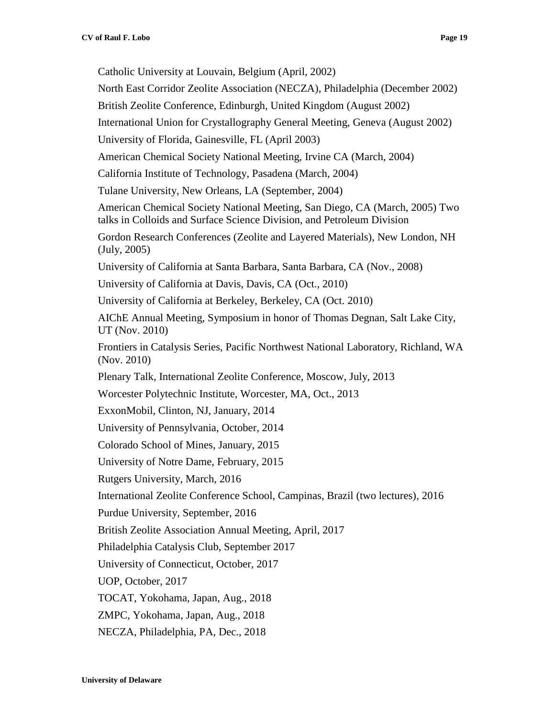Catholic University at Louvain, Belgium (April, 2002) North East Corridor Zeolite Association (NECZA), Philadelphia (December 2002) British Zeolite Conference, Edinburgh, United Kingdom (August 2002) International Union for Crystallography General Meeting, Geneva (August 2002) University of Florida, Gainesville, FL (April 2003) American Chemical Society National Meeting, Irvine CA (March, 2004) California Institute of Technology, Pasadena (March, 2004) Tulane University, New Orleans, LA (September, 2004) American Chemical Society National Meeting, San Diego, CA (March, 2005) Two talks in Colloids and Surface Science Division, and Petroleum Division Gordon Research Conferences (Zeolite and Layered Materials), New London, NH (July, 2005) University of California at Santa Barbara, Santa Barbara, CA (Nov., 2008) University of California at Davis, Davis, CA (Oct., 2010) University of California at Berkeley, Berkeley, CA (Oct. 2010) AIChE Annual Meeting, Symposium in honor of Thomas Degnan, Salt Lake City, UT (Nov. 2010) Frontiers in Catalysis Series, Pacific Northwest National Laboratory, Richland, WA (Nov. 2010) Plenary Talk, International Zeolite Conference, Moscow, July, 2013 Worcester Polytechnic Institute, Worcester, MA, Oct., 2013 ExxonMobil, Clinton, NJ, January, 2014 University of Pennsylvania, October, 2014 Colorado School of Mines, January, 2015 University of Notre Dame, February, 2015 Rutgers University, March, 2016 International Zeolite Conference School, Campinas, Brazil (two lectures), 2016 Purdue University, September, 2016 British Zeolite Association Annual Meeting, April, 2017 Philadelphia Catalysis Club, September 2017 University of Connecticut, October, 2017 UOP, October, 2017 TOCAT, Yokohama, Japan, Aug., 2018 ZMPC, Yokohama, Japan, Aug., 2018 NECZA, Philadelphia, PA, Dec., 2018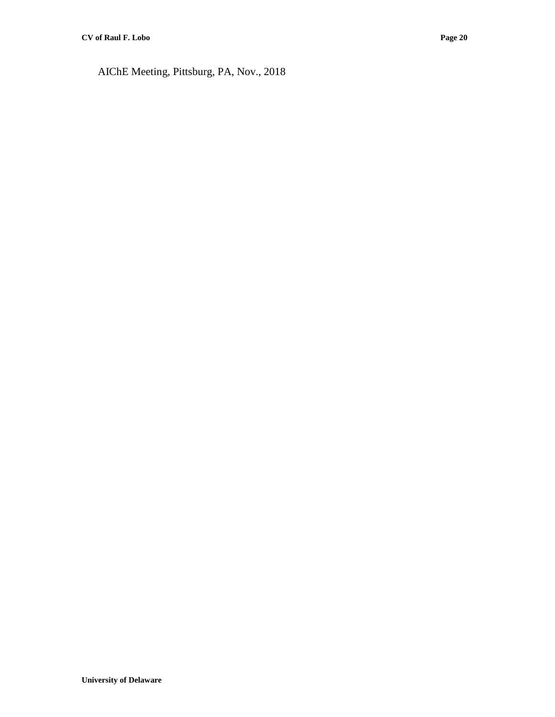AIChE Meeting, Pittsburg, PA, Nov., 2018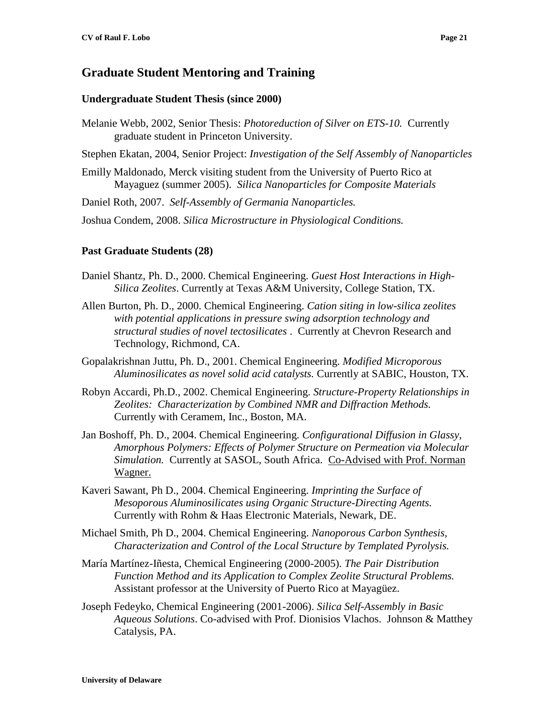## **Graduate Student Mentoring and Training**

#### **Undergraduate Student Thesis (since 2000)**

- Melanie Webb, 2002, Senior Thesis: *Photoreduction of Silver on ETS-10.* Currently graduate student in Princeton University.
- Stephen Ekatan, 2004, Senior Project: *Investigation of the Self Assembly of Nanoparticles*
- Emilly Maldonado, Merck visiting student from the University of Puerto Rico at Mayaguez (summer 2005). *Silica Nanoparticles for Composite Materials*
- Daniel Roth, 2007. *Self-Assembly of Germania Nanoparticles.*

Joshua Condem, 2008. *Silica Microstructure in Physiological Conditions.*

#### **Past Graduate Students (28)**

- Daniel Shantz, Ph. D., 2000. Chemical Engineering. *Guest Host Interactions in High-Silica Zeolites*. Currently at Texas A&M University, College Station, TX.
- Allen Burton, Ph. D., 2000. Chemical Engineering. *Cation siting in low-silica zeolites with potential applications in pressure swing adsorption technology and structural studies of novel tectosilicates* . Currently at Chevron Research and Technology, Richmond, CA.
- Gopalakrishnan Juttu, Ph. D., 2001. Chemical Engineering. *Modified Microporous Aluminosilicates as novel solid acid catalysts.* Currently at SABIC, Houston, TX.
- Robyn Accardi, Ph.D., 2002. Chemical Engineering. *Structure-Property Relationships in Zeolites: Characterization by Combined NMR and Diffraction Methods.* Currently with Ceramem, Inc., Boston, MA.
- Jan Boshoff, Ph. D., 2004. Chemical Engineering. *Configurational Diffusion in Glassy, Amorphous Polymers: Effects of Polymer Structure on Permeation via Molecular Simulation.* Currently at SASOL, South Africa. Co-Advised with Prof. Norman Wagner.
- Kaveri Sawant, Ph D., 2004. Chemical Engineering. *Imprinting the Surface of Mesoporous Aluminosilicates using Organic Structure-Directing Agents.* Currently with Rohm & Haas Electronic Materials, Newark, DE.
- Michael Smith, Ph D., 2004. Chemical Engineering. *Nanoporous Carbon Synthesis, Characterization and Control of the Local Structure by Templated Pyrolysis.*
- María Martínez-Iñesta, Chemical Engineering (2000-2005). *The Pair Distribution Function Method and its Application to Complex Zeolite Structural Problems.* Assistant professor at the University of Puerto Rico at Mayagüez.
- Joseph Fedeyko, Chemical Engineering (2001-2006). *Silica Self-Assembly in Basic Aqueous Solutions*. Co-advised with Prof. Dionisios Vlachos. Johnson & Matthey Catalysis, PA.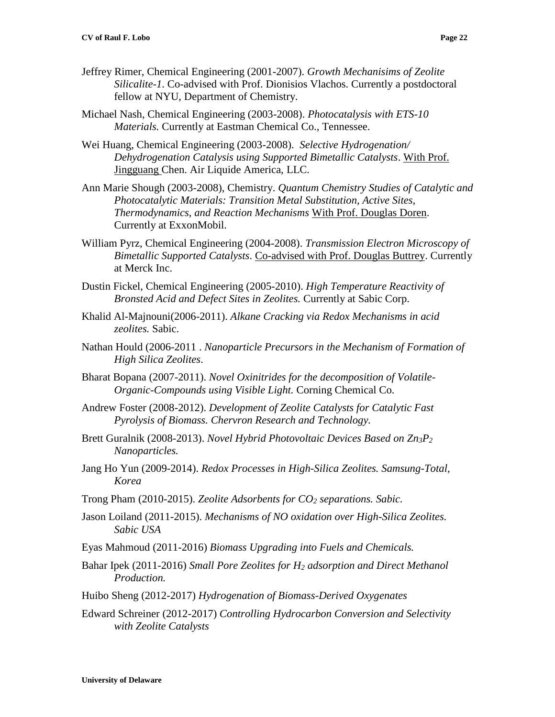- Jeffrey Rimer, Chemical Engineering (2001-2007). *Growth Mechanisims of Zeolite Silicalite-1*. Co-advised with Prof. Dionisios Vlachos. Currently a postdoctoral fellow at NYU, Department of Chemistry.
- Michael Nash, Chemical Engineering (2003-2008). *Photocatalysis with ETS-10 Materials.* Currently at Eastman Chemical Co., Tennessee.
- Wei Huang, Chemical Engineering (2003-2008). *Selective Hydrogenation/ Dehydrogenation Catalysis using Supported Bimetallic Catalysts*. With Prof. Jingguang Chen. Air Liquide America, LLC.
- Ann Marie Shough (2003-2008), Chemistry. *Quantum Chemistry Studies of Catalytic and Photocatalytic Materials: Transition Metal Substitution, Active Sites, Thermodynamics, and Reaction Mechanisms* With Prof. Douglas Doren. Currently at ExxonMobil.
- William Pyrz, Chemical Engineering (2004-2008). *Transmission Electron Microscopy of Bimetallic Supported Catalysts*. Co-advised with Prof. Douglas Buttrey. Currently at Merck Inc.
- Dustin Fickel, Chemical Engineering (2005-2010). *High Temperature Reactivity of Bronsted Acid and Defect Sites in Zeolites.* Currently at Sabic Corp.
- Khalid Al-Majnouni(2006-2011). *Alkane Cracking via Redox Mechanisms in acid zeolites.* Sabic.
- Nathan Hould (2006-2011 . *Nanoparticle Precursors in the Mechanism of Formation of High Silica Zeolites*.
- Bharat Bopana (2007-2011). *Novel Oxinitrides for the decomposition of Volatile-Organic-Compounds using Visible Light.* Corning Chemical Co.
- Andrew Foster (2008-2012). *Development of Zeolite Catalysts for Catalytic Fast Pyrolysis of Biomass. Chervron Research and Technology.*
- Brett Guralnik (2008-2013). *Novel Hybrid Photovoltaic Devices Based on Zn3P<sup>2</sup> Nanoparticles.*
- Jang Ho Yun (2009-2014). *Redox Processes in High-Silica Zeolites. Samsung-Total, Korea*
- Trong Pham (2010-2015). *Zeolite Adsorbents for CO<sup>2</sup> separations. Sabic.*
- Jason Loiland (2011-2015). *Mechanisms of NO oxidation over High-Silica Zeolites. Sabic USA*
- Eyas Mahmoud (2011-2016) *Biomass Upgrading into Fuels and Chemicals.*
- Bahar Ipek (2011-2016) *Small Pore Zeolites for H<sup>2</sup> adsorption and Direct Methanol Production.*
- Huibo Sheng (2012-2017) *Hydrogenation of Biomass-Derived Oxygenates*
- Edward Schreiner (2012-2017) *Controlling Hydrocarbon Conversion and Selectivity with Zeolite Catalysts*